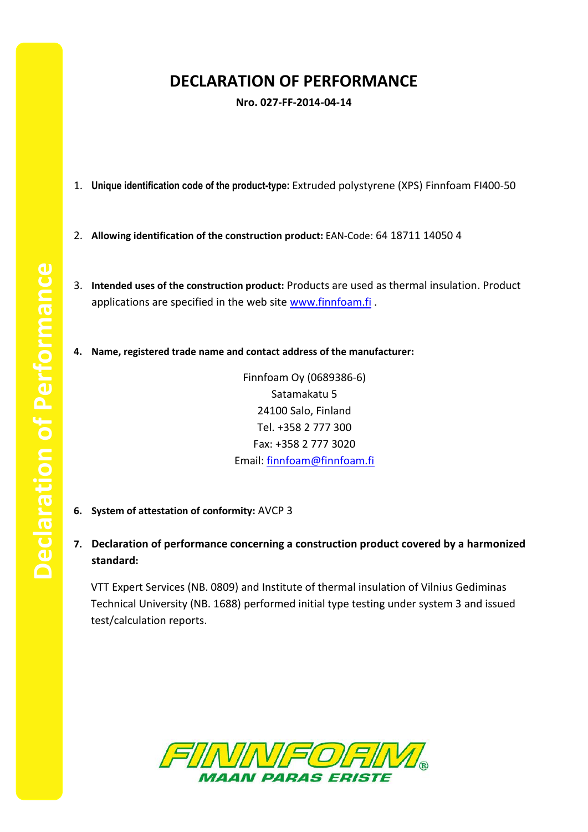## **DECLARATION OF PERFORMANCE**

**Nro. 027-FF-2014-04-14**

- 1. **Unique identification code of the product-type:** Extruded polystyrene (XPS) Finnfoam FI400-50
- 2. **Allowing identification of the construction product:** EAN-Code: 64 18711 14050 4
- 3. **Intended uses of the construction product:** Products are used as thermal insulation. Product applications are specified in the web site [www.finnfoam.fi](http://www.finnfoam.fi/).
- **4. Name, registered trade name and contact address of the manufacturer:**

Finnfoam Oy (0689386-6) Satamakatu 5 24100 Salo, Finland Tel. +358 2 777 300 Fax: +358 2 777 3020 Email: [finnfoam@finnfoam.fi](mailto:finnfoam@finnfoam.fi)

- **6. System of attestation of conformity:** AVCP 3
- **7. Declaration of performance concerning a construction product covered by a harmonized standard:**

VTT Expert Services (NB. 0809) and Institute of thermal insulation of Vilnius Gediminas Technical University (NB. 1688) performed initial type testing under system 3 and issued test/calculation reports.